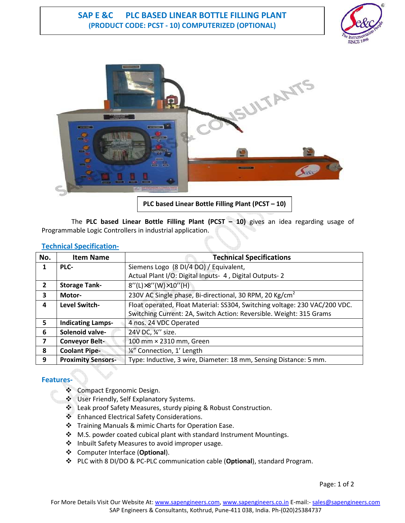## **SAP E &C PLC BASED LINEAR BOTTLE FILLING PLANT (PRODUCT CODE: PCST - 10) COMPUTERIZED (OPTIONAL)**





**PLC based Linear Bottle Filling Plant (PCST – 10)**

 The **PLC based Linear Bottle Filling Plant (PCST – 10)** gives an idea regarding usage of Programmable Logic Controllers in industrial application.

| No.                     | <b>Item Name</b>          | <b>Technical Specifications</b>                                            |
|-------------------------|---------------------------|----------------------------------------------------------------------------|
| 1                       | PLC-                      | Siemens Logo (8 DI/4 DO) / Equivalent,                                     |
|                         |                           | Actual Plant I/O: Digital Inputs- 4, Digital Outputs-2                     |
| $\mathbf{2}$            | <b>Storage Tank-</b>      | $8''(L)\times8''(W)\times10''(H)$                                          |
| 3                       | Motor-                    | 230V AC Single phase, Bi-directional, 30 RPM, 20 Kg/cm <sup>2</sup>        |
| 4                       | <b>Level Switch-</b>      | Float operated, Float Material: SS304, Switching voltage: 230 VAC/200 VDC. |
|                         |                           | Switching Current: 2A, Switch Action: Reversible. Weight: 315 Grams        |
| 5                       | <b>Indicating Lamps-</b>  | 4 nos. 24 VDC Operated                                                     |
| 6                       | Solenoid valve-           | 24V DC, 1/4" size.                                                         |
| $\overline{\mathbf{z}}$ | <b>Conveyor Belt-</b>     | 100 mm × 2310 mm, Green                                                    |
| 8                       | <b>Coolant Pipe-</b>      | 1/4" Connection, 1' Length                                                 |
| 9                       | <b>Proximity Sensors-</b> | Type: Inductive, 3 wire, Diameter: 18 mm, Sensing Distance: 5 mm.          |

#### **Technical Specification-**

## **Features-**

- ❖ Compact Ergonomic Design.
- User Friendly, Self Explanatory Systems.
- Leak proof Safety Measures, sturdy piping & Robust Construction.
- ❖ Enhanced Electrical Safety Considerations.
- Training Manuals & mimic Charts for Operation Ease.
- ◆ M.S. powder coated cubical plant with standard Instrument Mountings.
- ❖ Inbuilt Safety Measures to avoid improper usage.
- Computer Interface (**Optional**).
- PLC with 8 DI/DO & PC-PLC communication cable (**Optional**), standard Program.

Page: 1 of 2